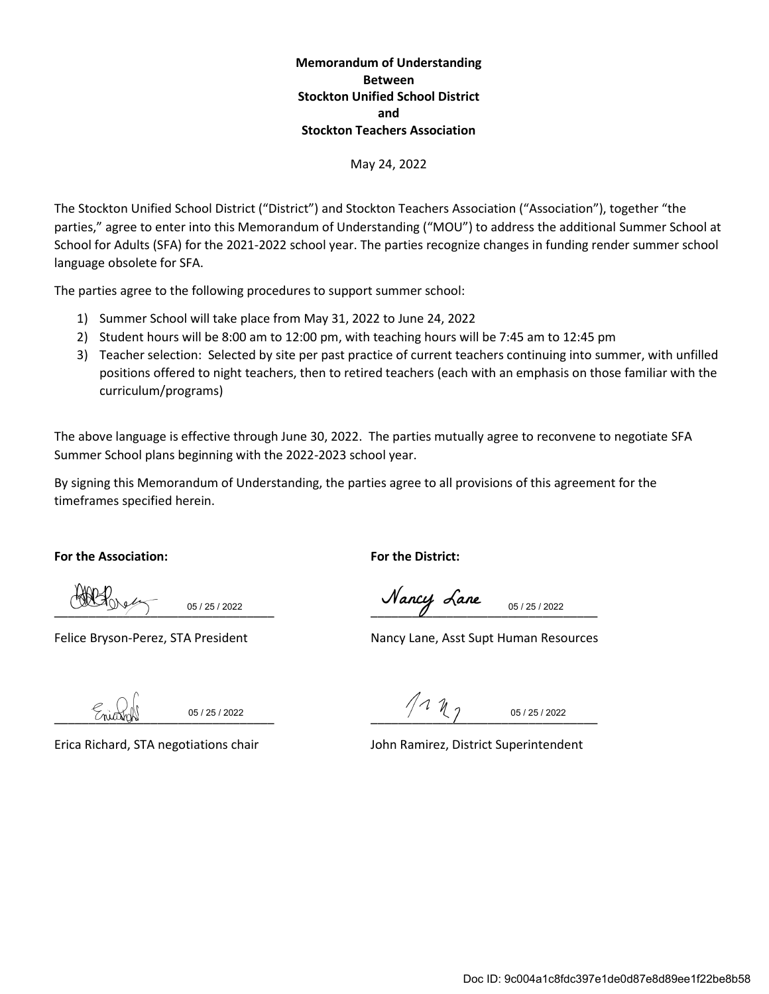### **Memorandum of Understanding Between Stockton Unified School District and Stockton Teachers Association**

#### May 24, 2022

The Stockton Unified School District ("District") and Stockton Teachers Association ("Association"), together "the parties," agree to enter into this Memorandum of Understanding ("MOU") to address the additional Summer School at School for Adults (SFA) for the 2021-2022 school year. The parties recognize changes in funding render summer school language obsolete for SFA.

The parties agree to the following procedures to support summer school:

- 1) Summer School will take place from May 31, 2022 to June 24, 2022
- 2) Student hours will be 8:00 am to 12:00 pm, with teaching hours will be 7:45 am to 12:45 pm
- 3) Teacher selection: Selected by site per past practice of current teachers continuing into summer, with unfilled positions offered to night teachers, then to retired teachers (each with an emphasis on those familiar with the curriculum/programs)

The above language is effective through June 30, 2022. The parties mutually agree to reconvene to negotiate SFA Summer School plans beginning with the 2022-2023 school year.

By signing this Memorandum of Understanding, the parties agree to all provisions of this agreement for the timeframes specified herein.

**For the Association: For the District:**

05 / 25 / 2022

\_\_\_\_\_\_\_\_\_\_\_\_\_\_\_\_\_\_\_\_\_\_\_\_\_\_\_\_\_\_\_\_ \_\_\_\_\_\_\_\_\_\_\_\_\_\_\_\_\_\_\_\_\_\_\_\_\_\_\_\_\_\_\_\_\_ 05 / 25 / 2022

Felice Bryson-Perez, STA President Nancy Lane, Asst Supt Human Resources

05 / 25 / 2022

 $111$ 05 / 25 / 2022

Erica Richard, STA negotiations chair John Ramirez, District Superintendent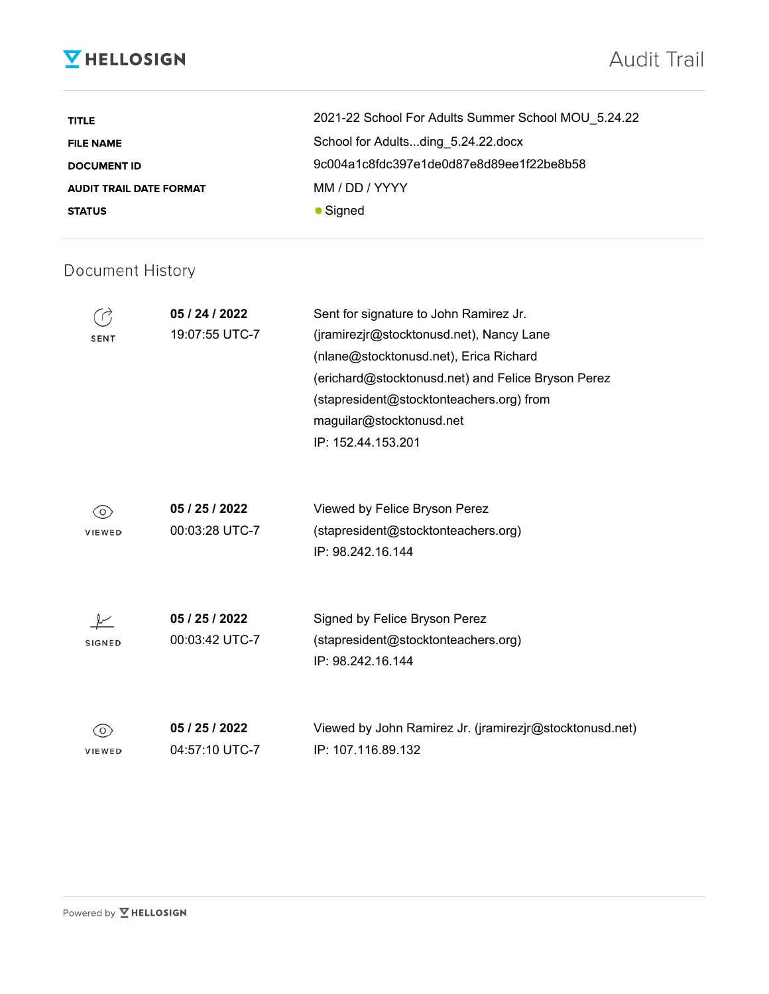# **V** HELLOSIGN

# Audit Trail

| <b>TITLE</b>                   | 2021-22 School For Adults Summer School MOU 5.24.22 |
|--------------------------------|-----------------------------------------------------|
| <b>FILE NAME</b>               | School for Adultsding_5.24.22.docx                  |
| <b>DOCUMENT ID</b>             | 9c004a1c8fdc397e1de0d87e8d89ee1f22be8b58            |
| <b>AUDIT TRAIL DATE FORMAT</b> | MM / DD / YYYY                                      |
| <b>STATUS</b>                  | $\bullet$ Signed                                    |

## Document History

|               | 05 / 24 / 2022 | Sent for signature to John Ramirez Jr.                  |
|---------------|----------------|---------------------------------------------------------|
| <b>SENT</b>   | 19:07:55 UTC-7 | (jramirezjr@stocktonusd.net), Nancy Lane                |
|               |                | (nlane@stocktonusd.net), Erica Richard                  |
|               |                | (erichard@stocktonusd.net) and Felice Bryson Perez      |
|               |                | (stapresident@stocktonteachers.org) from                |
|               |                | maguilar@stocktonusd.net                                |
|               |                | IP: 152.44.153.201                                      |
|               |                |                                                         |
| 0)            | 05 / 25 / 2022 | Viewed by Felice Bryson Perez                           |
| VIEWED        | 00:03:28 UTC-7 | (stapresident@stocktonteachers.org)                     |
|               |                | IP: 98.242.16.144                                       |
|               |                |                                                         |
|               | 05 / 25 / 2022 | Signed by Felice Bryson Perez                           |
| <b>SIGNED</b> | 00:03:42 UTC-7 | (stapresident@stocktonteachers.org)                     |
|               |                | IP: 98.242.16.144                                       |
|               |                |                                                         |
| $\circ$       | 05 / 25 / 2022 | Viewed by John Ramirez Jr. (jramirezjr@stocktonusd.net) |
| VIEWED        | 04:57:10 UTC-7 | IP: 107.116.89.132                                      |